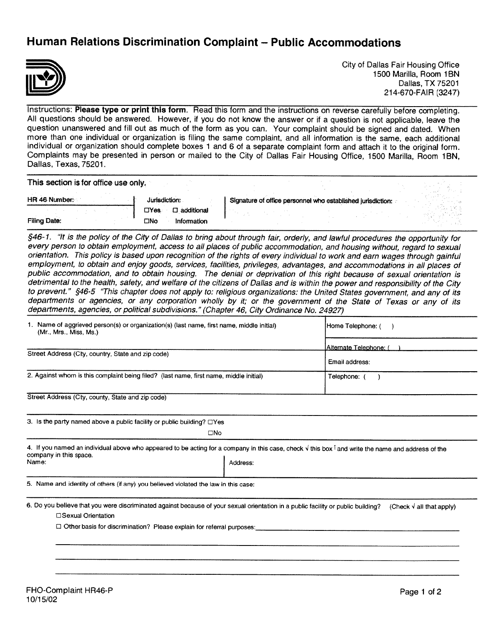## Human Relations Discrimination Complaint — Public Accommodations



City of Dallas Fair Housing Office 1500 Marilla, Room 1BN Dallas, TX 75201 214-670-FAIR (3247)

Instructions: Please type or print this form. Read this form and the instructions on reverse carefully before completing. All questions should be answered. However, if you do not know the answer or if a question is not applicable, leave the question unanswered and fill out as much of the form as you can. Your complaint should be signed and dated. When more than one individual or organization is filing the same complaint, and all information is the same, each additional individual or organization should complete boxes <sup>1</sup> and 6 of a separate complaint form and attach it to the original form. Complaints may be presented in person or mailed to the City of Dallas Fair Housing Office, 1500 Marilla, Room 1BN, Dallas, Texas, 75201.

This section is for office use only.

| HR 46 Number | Jurisdiction:                  | Signature of office personnel who established jurisdiction: |  |
|--------------|--------------------------------|-------------------------------------------------------------|--|
|              | $\square$ additional:<br>⊡Yes. |                                                             |  |
| Filing Date: | <b>CINo</b><br>Information     |                                                             |  |

§46-1. "It is the policy of the City of Dallas to bring about through fair, orderly, and lawful procedures the opportunity for every person to obtain employment, access to all places of public accommodation, and housing without, regard to sexual orientation. This policy is based upon recognition of the rights of every individual to work and earn wages through gainful employment, to obtain and enjoy goods, services, facilities, privileges, advantages, and accommodations in all places of public accommodation, and to obtain housing. The denial or deprivation of this right because of sexual orientation is detrimental to the health, safety, and welfare of the citizens of Dallas and is within the power and responsibility of the City to prevent." §46-5 'This chapter does not apply to: religious organizations: the United States government, and any of its departments or agencies, or any corporation wholly by it; or the government of the State of Texas or any of its departments, agencies, or political subdivisions." (Chapter 46, City Ordinance No. 24927)

| 1. Name of aggrieved person(s) or organization(s) (last name, first name, middle initial)<br>(Mr., Mrs., Miss, Ms.)                                                                                       |              | Home Telephone: (                |  |
|-----------------------------------------------------------------------------------------------------------------------------------------------------------------------------------------------------------|--------------|----------------------------------|--|
|                                                                                                                                                                                                           |              | Alternate Telephone: (           |  |
| Street Address (City, country, State and zip code)                                                                                                                                                        |              | Email address:                   |  |
| 2. Against whom is this complaint being filed? (last name, first name, middle initial)                                                                                                                    |              | Telephone: (                     |  |
| Street Address (City, county, State and zip code)                                                                                                                                                         |              |                                  |  |
| 3. Is the party named above a public facility or public building? $\Box$ Yes                                                                                                                              |              |                                  |  |
|                                                                                                                                                                                                           | $\square$ No |                                  |  |
| 4. If you named an individual above who appeared to be acting for a company in this case, check $\sqrt{ }$ this box <sup>1</sup> and write the name and address of the<br>company in this space.<br>Name: | Address:     |                                  |  |
| 5. Name and identity of others (if any) you believed violated the law in this case:                                                                                                                       |              |                                  |  |
| 6. Do you believe that you were discriminated against because of your sexual orientation in a public facility or public building?<br>□Sexual Orientation                                                  |              | (Check $\sqrt{}$ all that apply) |  |
| □ Other basis for discrimination? Please explain for referral purposes:                                                                                                                                   |              |                                  |  |
|                                                                                                                                                                                                           |              |                                  |  |
|                                                                                                                                                                                                           |              |                                  |  |
|                                                                                                                                                                                                           |              |                                  |  |